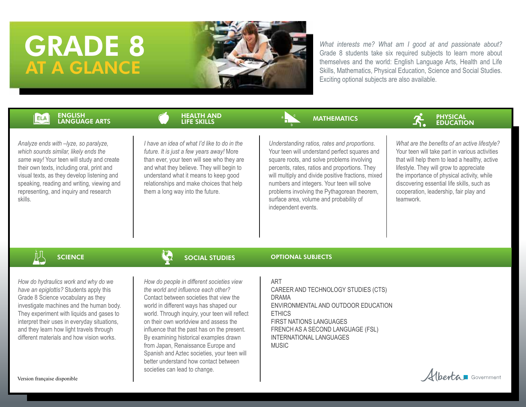# GRADE 8 AT A GLANCE



*What interests me? What am I good at and passionate about?*  Grade 8 students take six required subjects to learn more about themselves and the world: English Language Arts, Health and Life Skills, Mathematics, Physical Education, Science and Social Studies. Exciting optional subjects are also available.

#### ENGLISH ELA LANGUAGE ARTS



*Analyze ends with –lyze, so paralyze, which sounds similar, likely ends the same way!* Your teen will study and create their own texts, including oral, print and visual texts, as they develop listening and speaking, reading and writing, viewing and representing, and inquiry and research skills.

*I have an idea of what I'd like to do in the future. It is just a few years away!* More than ever, your teen will see who they are and what they believe. They will begin to understand what it means to keep good relationships and make choices that help them a long way into the future.

#### **MATHEMATICS**



*Understanding ratios, rates and proportions*. Your teen will understand perfect squares and square roots, and solve problems involving percents, rates, ratios and proportions. They will multiply and divide positive fractions, mixed numbers and integers. Your teen will solve problems involving the Pythagorean theorem, surface area, volume and probability of independent events.

*What are the benefits of an active lifestyle?* Your teen will take part in various activities that will help them to lead a healthy, active lifestyle. They will grow to appreciate the importance of physical activity, while discovering essential life skills, such as cooperation, leadership, fair play and teamwork.

**SCIENCE** 

SOCIAL STUDIES

#### OPTIONAL SUBJECTS

*How do hydraulics work and why do we have an epiglottis?* Students apply this Grade 8 Science vocabulary as they investigate machines and the human body. They experiment with liquids and gases to interpret their uses in everyday situations, and they learn how light travels through different materials and how vision works. *How do people in different societies view the world and influence each other?*  Contact between societies that view the world in different ways has shaped our world. Through inquiry, your teen will reflect on their own worldview and assess the influence that the past has on the present. By examining historical examples drawn from Japan, Renaissance Europe and Spanish and Aztec societies, your teen will better understand how contact between

societies can lead to change.

ART

CAREER AND TECHNOLOGY STUDIES (CTS) DRAMA ENVIRONMENTAL AND OUTDOOR EDUCATION **ETHICS** FIRST NATIONS LANGUAGES FRENCH AS A SECOND LANGUAGE (FSL) INTERNATIONAL LANGUAGES MUSIC

Alberta, Government